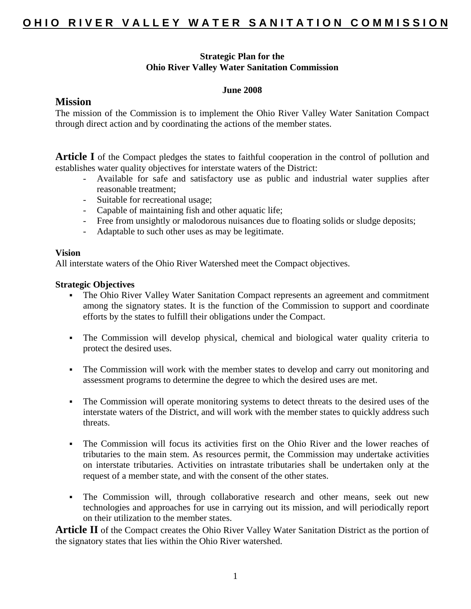## **Strategic Plan for the Ohio River Valley Water Sanitation Commission**

### **June 2008**

## **Mission**

The mission of the Commission is to implement the Ohio River Valley Water Sanitation Compact through direct action and by coordinating the actions of the member states.

**Article I** of the Compact pledges the states to faithful cooperation in the control of pollution and establishes water quality objectives for interstate waters of the District:

- Available for safe and satisfactory use as public and industrial water supplies after reasonable treatment;
- Suitable for recreational usage;
- Capable of maintaining fish and other aquatic life;
- Free from unsightly or malodorous nuisances due to floating solids or sludge deposits;
- Adaptable to such other uses as may be legitimate.

### **Vision**

All interstate waters of the Ohio River Watershed meet the Compact objectives.

#### **Strategic Objectives**

- The Ohio River Valley Water Sanitation Compact represents an agreement and commitment among the signatory states. It is the function of the Commission to support and coordinate efforts by the states to fulfill their obligations under the Compact.
- The Commission will develop physical, chemical and biological water quality criteria to protect the desired uses.
- The Commission will work with the member states to develop and carry out monitoring and assessment programs to determine the degree to which the desired uses are met.
- The Commission will operate monitoring systems to detect threats to the desired uses of the interstate waters of the District, and will work with the member states to quickly address such threats.
- The Commission will focus its activities first on the Ohio River and the lower reaches of tributaries to the main stem. As resources permit, the Commission may undertake activities on interstate tributaries. Activities on intrastate tributaries shall be undertaken only at the request of a member state, and with the consent of the other states.
- The Commission will, through collaborative research and other means, seek out new technologies and approaches for use in carrying out its mission, and will periodically report on their utilization to the member states.

Article II of the Compact creates the Ohio River Valley Water Sanitation District as the portion of the signatory states that lies within the Ohio River watershed.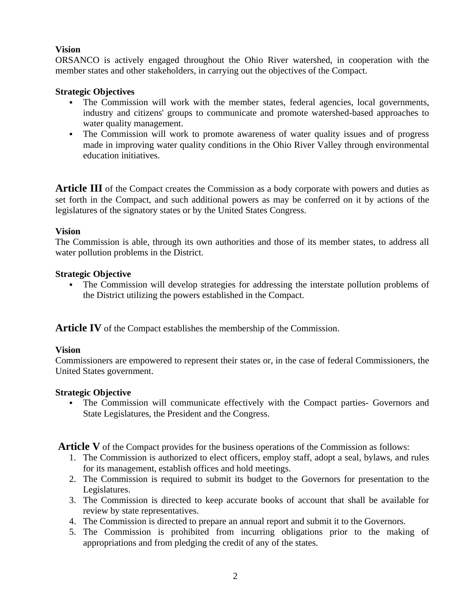# **Vision**

ORSANCO is actively engaged throughout the Ohio River watershed, in cooperation with the member states and other stakeholders, in carrying out the objectives of the Compact.

## **Strategic Objectives**

- The Commission will work with the member states, federal agencies, local governments, industry and citizens' groups to communicate and promote watershed-based approaches to water quality management.
- The Commission will work to promote awareness of water quality issues and of progress made in improving water quality conditions in the Ohio River Valley through environmental education initiatives.

**Article III** of the Compact creates the Commission as a body corporate with powers and duties as set forth in the Compact, and such additional powers as may be conferred on it by actions of the legislatures of the signatory states or by the United States Congress.

## **Vision**

The Commission is able, through its own authorities and those of its member states, to address all water pollution problems in the District.

## **Strategic Objective**

 The Commission will develop strategies for addressing the interstate pollution problems of the District utilizing the powers established in the Compact.

**Article IV** of the Compact establishes the membership of the Commission.

### **Vision**

Commissioners are empowered to represent their states or, in the case of federal Commissioners, the United States government.

### **Strategic Objective**

 The Commission will communicate effectively with the Compact parties- Governors and State Legislatures, the President and the Congress.

**Article V** of the Compact provides for the business operations of the Commission as follows:

- 1. The Commission is authorized to elect officers, employ staff, adopt a seal, bylaws, and rules for its management, establish offices and hold meetings.
- 2. The Commission is required to submit its budget to the Governors for presentation to the Legislatures.
- 3. The Commission is directed to keep accurate books of account that shall be available for review by state representatives.
- 4. The Commission is directed to prepare an annual report and submit it to the Governors.
- 5. The Commission is prohibited from incurring obligations prior to the making of appropriations and from pledging the credit of any of the states.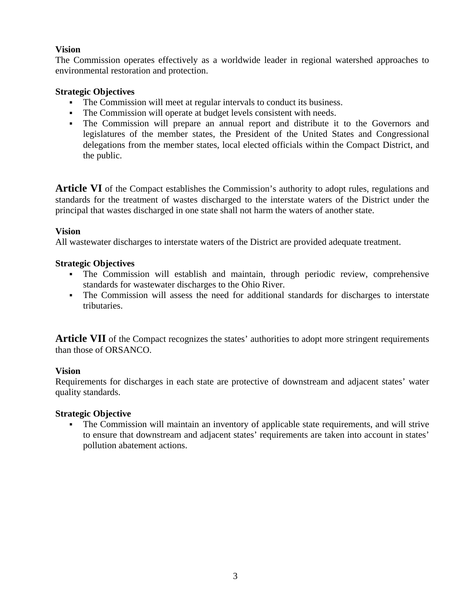# **Vision**

The Commission operates effectively as a worldwide leader in regional watershed approaches to environmental restoration and protection.

## **Strategic Objectives**

- The Commission will meet at regular intervals to conduct its business.
- The Commission will operate at budget levels consistent with needs.
- The Commission will prepare an annual report and distribute it to the Governors and legislatures of the member states, the President of the United States and Congressional delegations from the member states, local elected officials within the Compact District, and the public.

**Article VI** of the Compact establishes the Commission's authority to adopt rules, regulations and standards for the treatment of wastes discharged to the interstate waters of the District under the principal that wastes discharged in one state shall not harm the waters of another state.

## **Vision**

All wastewater discharges to interstate waters of the District are provided adequate treatment.

## **Strategic Objectives**

- The Commission will establish and maintain, through periodic review, comprehensive standards for wastewater discharges to the Ohio River.
- The Commission will assess the need for additional standards for discharges to interstate tributaries.

**Article VII** of the Compact recognizes the states' authorities to adopt more stringent requirements than those of ORSANCO.

## **Vision**

Requirements for discharges in each state are protective of downstream and adjacent states' water quality standards.

### **Strategic Objective**

 The Commission will maintain an inventory of applicable state requirements, and will strive to ensure that downstream and adjacent states' requirements are taken into account in states' pollution abatement actions.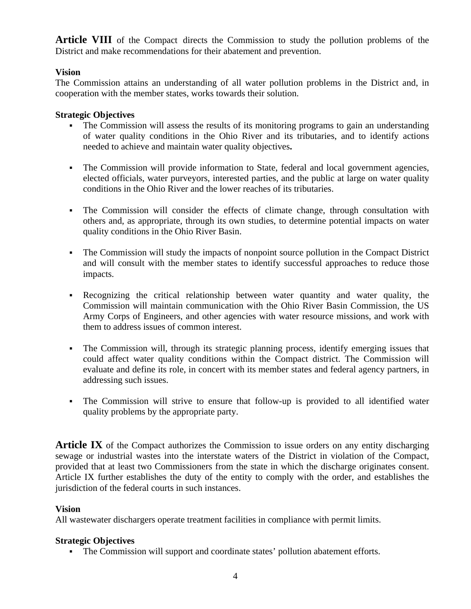**Article VIII** of the Compact directs the Commission to study the pollution problems of the District and make recommendations for their abatement and prevention.

## **Vision**

The Commission attains an understanding of all water pollution problems in the District and, in cooperation with the member states, works towards their solution.

### **Strategic Objectives**

- The Commission will assess the results of its monitoring programs to gain an understanding of water quality conditions in the Ohio River and its tributaries, and to identify actions needed to achieve and maintain water quality objectives**.**
- The Commission will provide information to State, federal and local government agencies, elected officials, water purveyors, interested parties, and the public at large on water quality conditions in the Ohio River and the lower reaches of its tributaries.
- The Commission will consider the effects of climate change, through consultation with others and, as appropriate, through its own studies, to determine potential impacts on water quality conditions in the Ohio River Basin.
- The Commission will study the impacts of nonpoint source pollution in the Compact District and will consult with the member states to identify successful approaches to reduce those impacts.
- Recognizing the critical relationship between water quantity and water quality, the Commission will maintain communication with the Ohio River Basin Commission, the US Army Corps of Engineers, and other agencies with water resource missions, and work with them to address issues of common interest.
- The Commission will, through its strategic planning process, identify emerging issues that could affect water quality conditions within the Compact district. The Commission will evaluate and define its role, in concert with its member states and federal agency partners, in addressing such issues.
- The Commission will strive to ensure that follow-up is provided to all identified water quality problems by the appropriate party.

**Article IX** of the Compact authorizes the Commission to issue orders on any entity discharging sewage or industrial wastes into the interstate waters of the District in violation of the Compact, provided that at least two Commissioners from the state in which the discharge originates consent. Article IX further establishes the duty of the entity to comply with the order, and establishes the jurisdiction of the federal courts in such instances.

### **Vision**

All wastewater dischargers operate treatment facilities in compliance with permit limits.

### **Strategic Objectives**

The Commission will support and coordinate states' pollution abatement efforts.